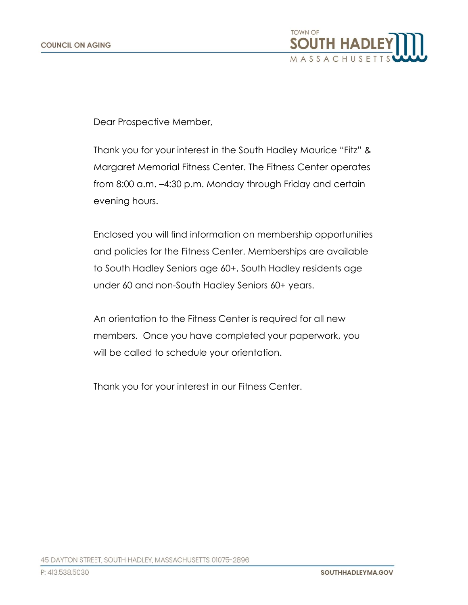

Dear Prospective Member,

Thank you for your interest in the South Hadley Maurice "Fitz" & Margaret Memorial Fitness Center. The Fitness Center operates from 8:00 a.m. –4:30 p.m. Monday through Friday and certain evening hours.

Enclosed you will find information on membership opportunities and policies for the Fitness Center. Memberships are available to South Hadley Seniors age 60+, South Hadley residents age under 60 and non-South Hadley Seniors 60+ years.

An orientation to the Fitness Center is required for all new members. Once you have completed your paperwork, you will be called to schedule your orientation.

Thank you for your interest in our Fitness Center.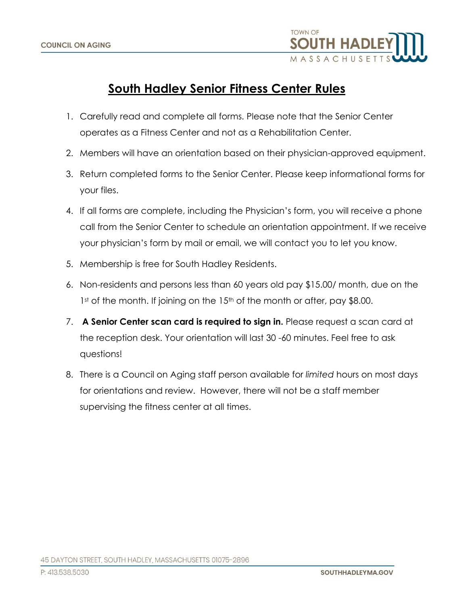

# **South Hadley Senior Fitness Center Rules**

- 1. Carefully read and complete all forms. Please note that the Senior Center operates as a Fitness Center and not as a Rehabilitation Center.
- 2. Members will have an orientation based on their physician-approved equipment.
- 3. Return completed forms to the Senior Center. Please keep informational forms for your files.
- 4. If all forms are complete, including the Physician's form, you will receive a phone call from the Senior Center to schedule an orientation appointment. If we receive your physician's form by mail or email, we will contact you to let you know.
- 5. Membership is free for South Hadley Residents.
- 6. Non-residents and persons less than 60 years old pay \$15.00/ month, due on the 1st of the month. If joining on the 15<sup>th</sup> of the month or after, pay \$8.00.
- 7. **A Senior Center scan card is required to sign in.** Please request a scan card at the reception desk. Your orientation will last 30 -60 minutes. Feel free to ask questions!
- 8. There is a Council on Aging staff person available for *limited* hours on most days for orientations and review. However, there will not be a staff member supervising the fitness center at all times.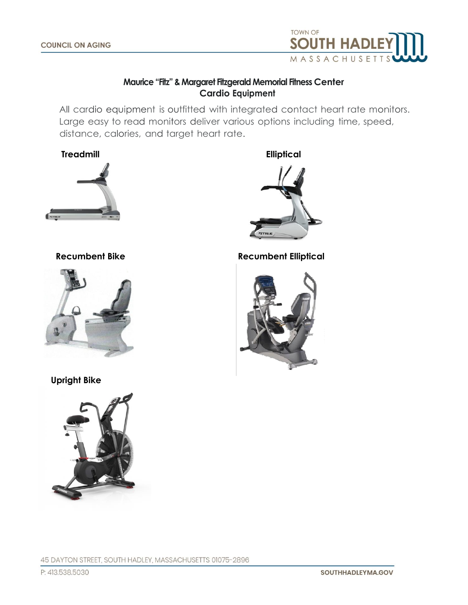

## **Maurice "Fitz" & Margaret Fitzgerald Memorial Fitness Center Cardio Equipment**

All cardio equipment is outfitted with integrated contact heart rate monitors. Large easy to read monitors deliver various options including time, speed, distance, calories, and target heart rate.

**Treadmill Elliptical**





 **Upright Bike** 





 **Recumbent Bike Recumbent Elliptical**

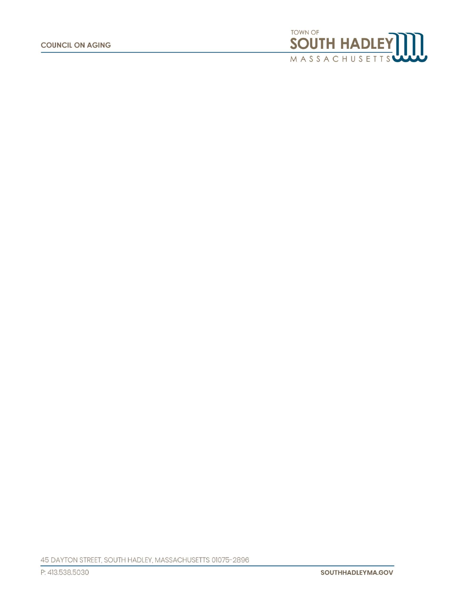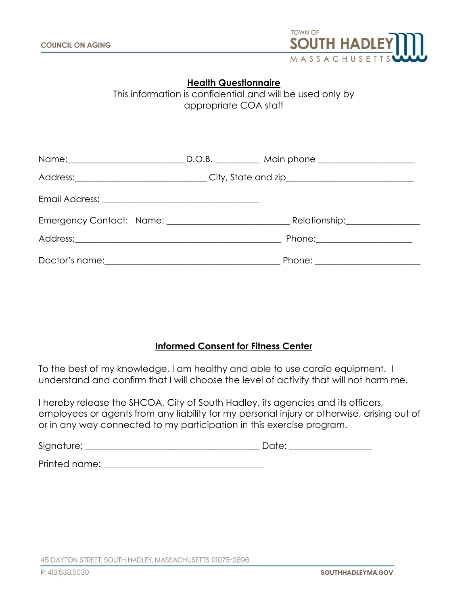

## **Health Questionnaire**

This information is confidential and will be used only by appropriate COA staff

| Address:________________________________City, State and zip______________________ |                                |  |
|-----------------------------------------------------------------------------------|--------------------------------|--|
|                                                                                   |                                |  |
|                                                                                   |                                |  |
|                                                                                   | Phone: ______________________  |  |
|                                                                                   | Phone: _______________________ |  |

## **Informed Consent for Fitness Center**

To the best of my knowledge, I am healthy and able to use cardio equipment. I understand and confirm that I will choose the level of activity that will not harm me.

I hereby release the SHCOA, City of South Hadley, its agencies and its officers, employees or agents from any liability for my personal injury or otherwise, arising out of or in any way connected to my participation in this exercise program.

Signature: \_\_\_\_\_\_\_\_\_\_\_\_\_\_\_\_\_\_\_\_\_\_\_\_\_\_\_\_\_\_\_\_\_\_\_\_\_\_ Date: \_\_\_\_\_\_\_\_\_\_\_\_\_\_\_\_\_\_

Printed name: \_\_\_\_\_\_\_\_\_\_\_\_\_\_\_\_\_\_\_\_\_\_\_\_\_\_\_\_\_\_\_\_\_\_\_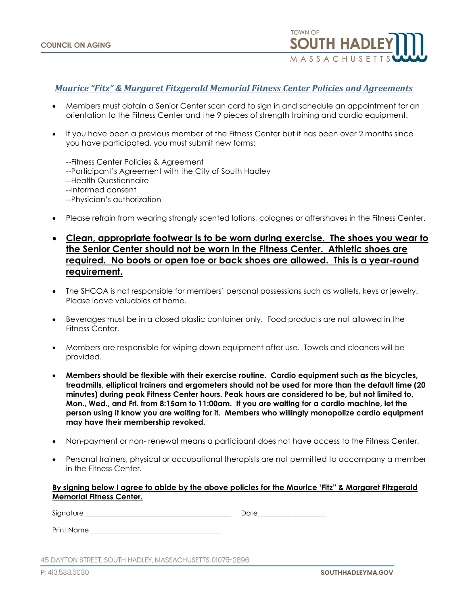

### *Maurice "Fitz" & Margaret Fitzgerald Memorial Fitness Center Policies and Agreements*

- Members must obtain a Senior Center scan card to sign in and schedule an appointment for an orientation to the Fitness Center and the 9 pieces of strength training and cardio equipment.
- If you have been a previous member of the Fitness Center but it has been over 2 months since you have participated, you must submit new forms:
	- --Fitness Center Policies & Agreement
	- --Participant's Agreement with the City of South Hadley
	- --Health Questionnaire
	- --Informed consent
	- --Physician's authorization
- Please refrain from wearing strongly scented lotions, colognes or aftershaves in the Fitness Center.
- **Clean, appropriate footwear is to be worn during exercise. The shoes you wear to the Senior Center should not be worn in the Fitness Center. Athletic shoes are required. No boots or open toe or back shoes are allowed. This is a year-round requirement.**
- The SHCOA is not responsible for members' personal possessions such as wallets, keys or jewelry. Please leave valuables at home.
- Beverages must be in a closed plastic container only. Food products are not allowed in the Fitness Center.
- Members are responsible for wiping down equipment after use. Towels and cleaners will be provided.
- **Members should be flexible with their exercise routine. Cardio equipment such as the bicycles, treadmills, elliptical trainers and ergometers should not be used for more than the default time (20 minutes) during peak Fitness Center hours. Peak hours are considered to be, but not limited to, Mon., Wed., and Fri. from 8:15am to 11:00am. If you are waiting for a cardio machine, let the person using it know you are waiting for it. Members who willingly monopolize cardio equipment may have their membership revoked.**
- Non-payment or non- renewal means a participant does not have access to the Fitness Center.
- Personal trainers, physical or occupational therapists are not permitted to accompany a member in the Fitness Center.

#### **By signing below I agree to abide by the above policies for the Maurice 'Fitz" & Margaret Fitzgerald Memorial Fitness Center.**

Signature\_\_\_\_\_\_\_\_\_\_\_\_\_\_\_\_\_\_\_\_\_\_\_\_\_\_\_\_\_\_\_\_\_\_\_\_\_\_\_\_\_\_\_ Date\_\_\_\_\_\_\_\_\_\_\_\_\_\_\_\_\_\_\_\_

Print Name \_\_\_\_\_\_\_\_\_\_\_\_\_\_\_\_\_\_\_\_\_\_\_\_\_\_\_\_\_\_\_\_\_\_\_\_\_\_